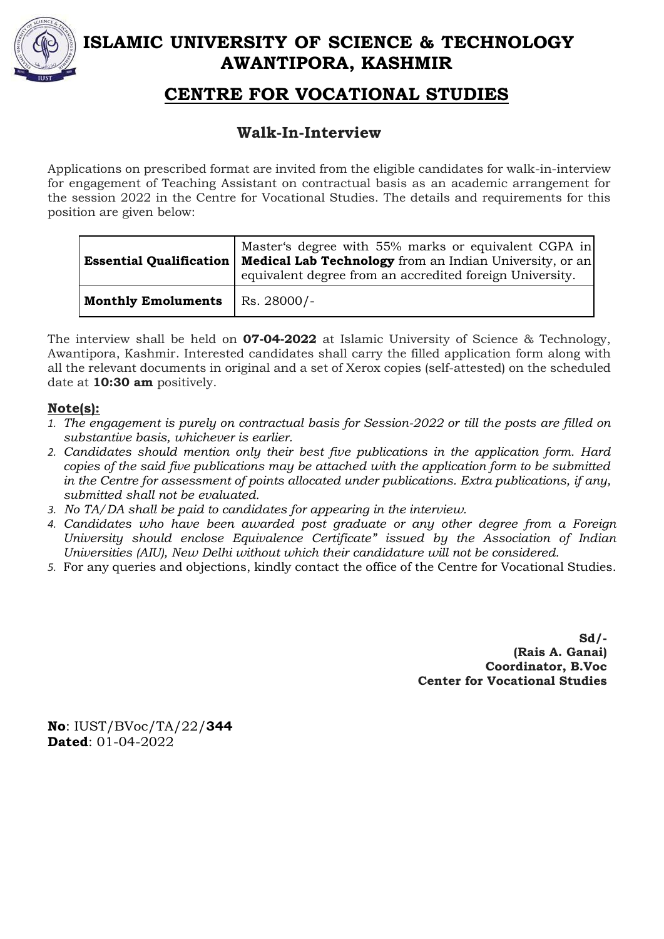

# **ISLAMIC UNIVERSITY OF SCIENCE & TECHNOLOGY AWANTIPORA, KASHMIR**

## **CENTRE FOR VOCATIONAL STUDIES**

## **Walk-In-Interview**

Applications on prescribed format are invited from the eligible candidates for walk-in-interview for engagement of Teaching Assistant on contractual basis as an academic arrangement for the session 2022 in the Centre for Vocational Studies. The details and requirements for this position are given below:

|                           | Master's degree with 55% marks or equivalent CGPA in<br><b>Essential Qualification   Medical Lab Technology</b> from an Indian University, or an<br>equivalent degree from an accredited foreign University. |
|---------------------------|--------------------------------------------------------------------------------------------------------------------------------------------------------------------------------------------------------------|
| <b>Monthly Emoluments</b> | $\overline{\phantom{1}}$ Rs. 28000/-                                                                                                                                                                         |

The interview shall be held on **07-04-2022** at Islamic University of Science & Technology, Awantipora, Kashmir. Interested candidates shall carry the filled application form along with all the relevant documents in original and a set of Xerox copies (self-attested) on the scheduled date at **10:30 am** positively.

## **Note(s):**

- *1. The engagement is purely on contractual basis for Session-2022 or till the posts are filled on substantive basis, whichever is earlier.*
- *2. Candidates should mention only their best five publications in the application form. Hard copies of the said five publications may be attached with the application form to be submitted in the Centre for assessment of points allocated under publications. Extra publications, if any, submitted shall not be evaluated.*
- *3. No TA/DA shall be paid to candidates for appearing in the interview.*
- *4. Candidates who have been awarded post graduate or any other degree from a Foreign University should enclose Equivalence Certificate" issued by the Association of Indian Universities (AIU), New Delhi without which their candidature will not be considered.*
- *5.* For any queries and objections, kindly contact the office of the Centre for Vocational Studies.

**Sd/- (Rais A. Ganai) Coordinator, B.Voc Center for Vocational Studies** 

**No**: IUST/BVoc/TA/22/**344 Dated**: 01-04-2022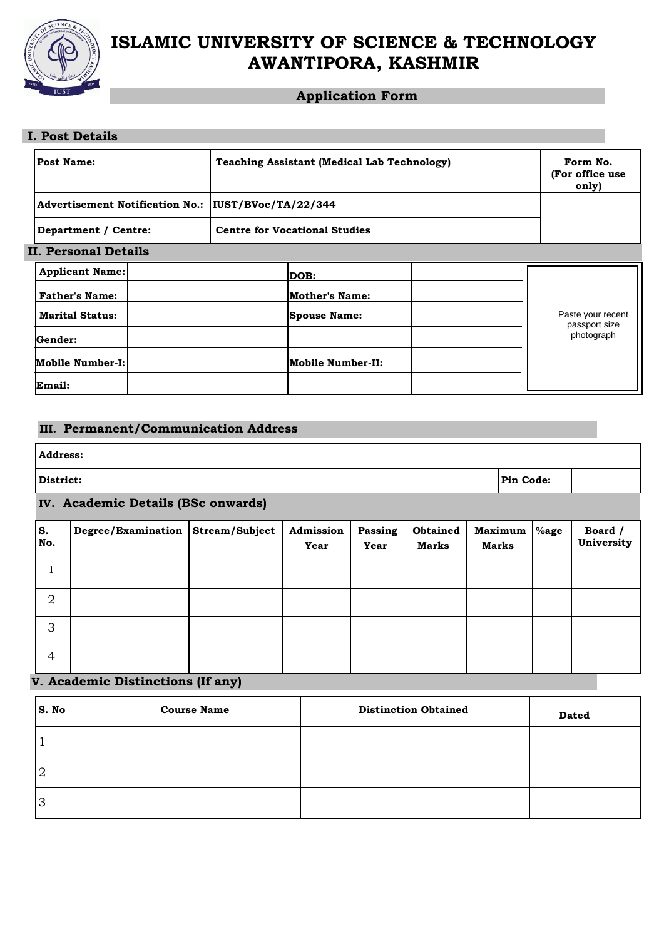

# **ISLAMIC UNIVERSITY OF SCIENCE & TECHNOLOGY AWANTIPORA, KASHMIR**

## **Application Form**

| <b>I. Post Details</b> |                                                      |                                      |  |  |
|------------------------|------------------------------------------------------|--------------------------------------|--|--|
| Post Name:             | <b>Teaching Assistant (Medical Lab Technology)</b>   | Form No.<br>(For office use<br>only) |  |  |
|                        | Advertisement Notification No.:  IUST/BVoc/TA/22/344 |                                      |  |  |
| Department / Centre:   | <b>Centre for Vocational Studies</b>                 |                                      |  |  |
| II. Personal Details   |                                                      |                                      |  |  |
| <b>Applicant Name:</b> | DOB:                                                 |                                      |  |  |
| <b>Father's Name:</b>  | Mother's Name:                                       |                                      |  |  |
| <b>Marital Status:</b> | <b>Spouse Name:</b>                                  | Paste your recent<br>passport size   |  |  |
| Gender:                |                                                      | photograph                           |  |  |
| Mobile Number-I:       | <b>Mobile Number-II:</b>                             |                                      |  |  |
| Email:                 |                                                      |                                      |  |  |

### **III. Permanent/Communication Address**

| <b>Address:</b> |                                    |                                   |                |                   |                 |                          |  |                         |      |                       |
|-----------------|------------------------------------|-----------------------------------|----------------|-------------------|-----------------|--------------------------|--|-------------------------|------|-----------------------|
| District:       |                                    | Pin Code:                         |                |                   |                 |                          |  |                         |      |                       |
|                 | IV. Academic Details (BSc onwards) |                                   |                |                   |                 |                          |  |                         |      |                       |
| S.<br>No.       |                                    | Degree/Examination                | Stream/Subject | Admission<br>Year | Passing<br>Year | <b>Obtained</b><br>Marks |  | <b>Maximum</b><br>Marks | %age | Board /<br>University |
|                 |                                    |                                   |                |                   |                 |                          |  |                         |      |                       |
| $\overline{2}$  |                                    |                                   |                |                   |                 |                          |  |                         |      |                       |
| 3               |                                    |                                   |                |                   |                 |                          |  |                         |      |                       |
| $\overline{4}$  |                                    |                                   |                |                   |                 |                          |  |                         |      |                       |
|                 |                                    | V. Academic Distinctions (If any) |                |                   |                 |                          |  |                         |      |                       |

| S. No | <b>Course Name</b> | <b>Distinction Obtained</b> | <b>Dated</b> |
|-------|--------------------|-----------------------------|--------------|
|       |                    |                             |              |
| ר ו   |                    |                             |              |
| 13    |                    |                             |              |